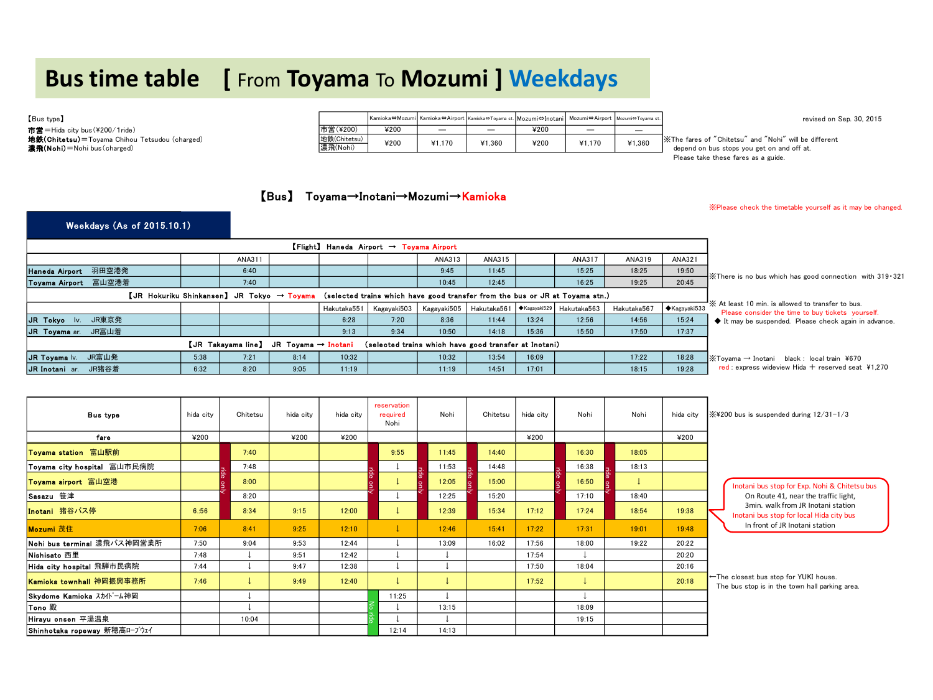# **Bus time table [** From **Toyama** To **Mozumi ] Weekdays**

| [Bus type]                                            |              |      |        |                          | Kamioka⇔Mozumi Kamioka⇔Airport Kamioka⇔Toyama st. Mozumi⇔Inotani Mozumi⇔Airport Mozumi⇔Toyama st. |        |                          | revised on Sep. 30, 2015                               |
|-------------------------------------------------------|--------------|------|--------|--------------------------|---------------------------------------------------------------------------------------------------|--------|--------------------------|--------------------------------------------------------|
| 市営=Hida city bus (¥200/1 ride)                        | 市営(¥200)     | ¥200 | -      | $\overline{\phantom{a}}$ | 420                                                                                               |        | $\overline{\phantom{a}}$ |                                                        |
| <b>地鉄(Chitetsu)</b> =Toyama Chihou Tetsudou (charged) | 地鉄(Chitetsu) | ¥200 | Y1.170 | ¥1.360                   | 420                                                                                               | ¥1.170 | 41.360                   | X The fares of "Chitetsu" and "Nohi" will be different |
| 濃飛(Nohi) = Nohi bus (charged)                         | 濃飛(Nohi,     |      |        |                          |                                                                                                   |        |                          | depend on bus stops you get on and off at.             |

Please take these fares as a guide.

#### 【Bus】 Toyama→Inotani→Mozumi→Kamioka

※Please check the timetable yourself as it may be changed.

| Weekdays (As of 2015.10.1) |                                                                                                                                       |        |                                        |       |                                                       |        |        |       |                                                  |             |              |                                                                                                         |  |  |  |
|----------------------------|---------------------------------------------------------------------------------------------------------------------------------------|--------|----------------------------------------|-------|-------------------------------------------------------|--------|--------|-------|--------------------------------------------------|-------------|--------------|---------------------------------------------------------------------------------------------------------|--|--|--|
|                            | [Flight] Haneda Airport $\rightarrow$ Tovama Airport                                                                                  |        |                                        |       |                                                       |        |        |       |                                                  |             |              |                                                                                                         |  |  |  |
|                            |                                                                                                                                       | ANA311 |                                        |       |                                                       | ANA313 | ANA315 |       | <b>ANA317</b>                                    | ANA319      | ANA321       |                                                                                                         |  |  |  |
| Haneda Airport 羽田空港発       |                                                                                                                                       | 6:40   |                                        |       |                                                       | 9:45   | 11:45  |       | 15:25                                            | 18:25       | 19:50        | XThere is no bus which has good connection with 319.321                                                 |  |  |  |
| Toyama Airport 富山空港着       |                                                                                                                                       | 7:40   |                                        |       |                                                       | 10:45  | 12:45  |       | 16:25                                            | 19:25       | 20:45        |                                                                                                         |  |  |  |
|                            | $[JR$ Hokuriku Shinkansen] JR Tokyo $\rightarrow$ Toyama (selected trains which have good transfer from the bus or JR at Toyama stn.) |        |                                        |       |                                                       |        |        |       |                                                  |             |              |                                                                                                         |  |  |  |
|                            |                                                                                                                                       |        |                                        |       | Hakutaka551 Kagavaki503                               |        |        |       | Kagavaki505 Hakutaka561 ◆Kagayaki529 Hakutaka563 | Hakutaka567 | ◆Kagayaki533 | XX At least 10 min, is allowed to transfer to bus.<br>Please consider the time to buy tickets vourself. |  |  |  |
| JR Tokvo Iv.<br>JR東京発      |                                                                                                                                       |        |                                        | 6:28  | 7:20                                                  | 8:36   | 11:44  | 13:24 | 12:56                                            | 14:56       | 15:24        | ♦ It may be suspended. Please check again in advance.                                                   |  |  |  |
| JR Toyama ar.<br>JR富山着     |                                                                                                                                       |        |                                        | 9:13  | 9:34                                                  | 10:50  | 14:18  | 15:36 | 15:50                                            | 17:50       | 17:37        |                                                                                                         |  |  |  |
|                            |                                                                                                                                       |        | [JR Takayama line] JR Toyama — Inotani |       | (selected trains which have good transfer at Inotani) |        |        |       |                                                  |             |              |                                                                                                         |  |  |  |
| JR Toyama Iv.<br>JR富山発     | 5:38                                                                                                                                  | 7:21   | 8:14                                   | 10:32 |                                                       | 10:32  | 13:54  | 16:09 |                                                  | 17:22       | 18:28        | $\cancel{\text{W}}$ Tovama $\rightarrow$ Inotani black : local train ¥670                               |  |  |  |
| JR猪谷着<br>JR Inotani ar.    | 6:32                                                                                                                                  | 8:20   | 9:05                                   | 11:19 |                                                       | 11:19  | 14:51  | 17:01 |                                                  | 18:15       | 19:28        | red: express wideview Hida + reserved seat ¥1.270                                                       |  |  |  |

| <b>Bus type</b>              | hida city | Chitetsu | hida city | hida city | reservation<br>required<br>Nohi | Nohi  | Chitetsu | hida city | Nohi                | Nohi  | hida city | ※¥200 bus is suspended during 12/31-1/3                                                 |
|------------------------------|-----------|----------|-----------|-----------|---------------------------------|-------|----------|-----------|---------------------|-------|-----------|-----------------------------------------------------------------------------------------|
| fare                         | ¥200      |          | ¥200      | ¥200      |                                 |       |          | ¥200      |                     |       | ¥200      |                                                                                         |
| Toyama station 富山駅前          |           | 7:40     |           |           | 9:55                            | 11:45 | 14:40    |           | 16:30               | 18:05 |           |                                                                                         |
| Toyama city hospital 富山市民病院  |           | 7:48     |           |           |                                 | 11:53 | 14:48    |           | 16:38               | 18:13 |           |                                                                                         |
| Toyama airport 富山空港          |           | 8:00     |           |           |                                 | 12:05 | 15:00    |           | ∎ ه<br>16:50<br>l s |       |           | Inotani bus stop for Exp. Nohi & Chitetsu bus                                           |
| Sasazu 笹津                    |           | 8:20     |           |           |                                 | 12:25 | 15:20    |           | 17:10               | 18:40 |           | On Route 41, near the traffic light,                                                    |
| Inotani 猪谷バス停                | 6:56      | 8:34     | 9:15      | 12:00     |                                 | 12:39 | 15:34    | 17:12     | 17:24               | 18:54 | 19:38     | 3min. walk from JR Inotani station<br>Inotani bus stop for local Hida city bus          |
| Mozumi 茂住                    | 7:06      | 8:41     | 9:25      | 12:10     |                                 | 12:46 | 15:41    | 17:22     | 17:31               | 19:01 | 19:48     | In front of JR Inotani station                                                          |
| Nohi bus terminal 濃飛バス神岡営業所  | 7:50      | 9:04     | 9:53      | 12:44     |                                 | 13:09 | 16:02    | 17:56     | 18:00               | 19:22 | 20:22     |                                                                                         |
| Nishisato 西里                 | 7:48      |          | 9:51      | 12:42     |                                 |       |          | 17:54     |                     |       | 20:20     |                                                                                         |
| Hida city hospital 飛騨市民病院    | 7:44      |          | 9:47      | 12:38     |                                 |       |          | 17:50     | 18:04               |       | 20:16     |                                                                                         |
| Kamioka townhall 神岡振興事務所     | 7:46      |          | 9:49      | 12:40     |                                 |       |          | 17:52     |                     |       | 20:18     | ←The closest bus stop for YUKI house.<br>The bus stop is in the town hall parking area. |
| Skydome Kamioka スカイドーム神岡     |           |          |           |           | 11:25                           |       |          |           |                     |       |           |                                                                                         |
| <b>Tono 殿</b>                |           |          |           |           |                                 | 13:15 |          |           | 18:09               |       |           |                                                                                         |
| Hirayu onsen 平湯温泉            |           | 10:04    |           |           |                                 |       |          |           | 19:15               |       |           |                                                                                         |
| Shinhotaka ropeway 新穂高ロープウェイ |           |          |           |           | 12:14                           | 14:13 |          |           |                     |       |           |                                                                                         |